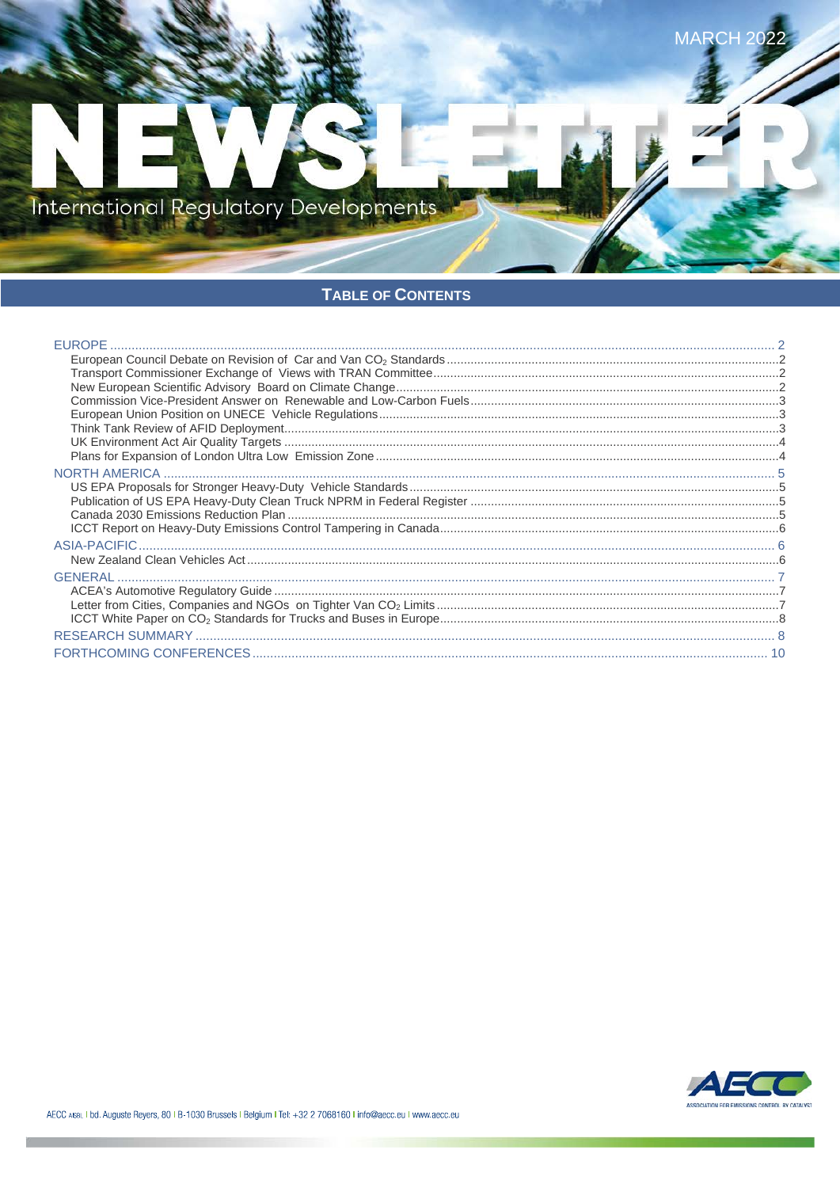

# TABLE OF CONTENTS

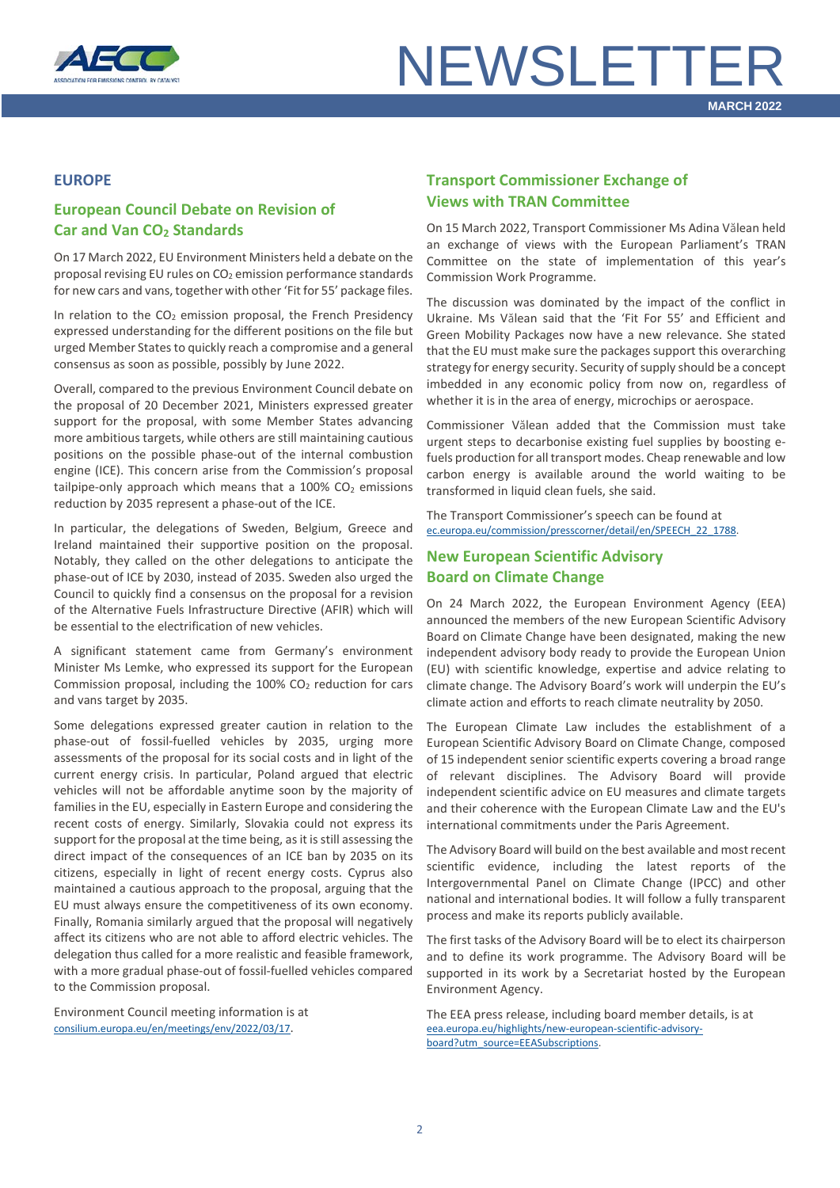

#### <span id="page-1-0"></span>**EUROPE**

# <span id="page-1-1"></span>**European Council Debate on Revision of Car and Van CO<sub>2</sub> Standards**

On 17 March 2022, EU Environment Ministers held a debate on the proposal revising EU rules on  $CO<sub>2</sub>$  emission performance standards for new cars and vans, together with other 'Fit for 55' package files.

In relation to the  $CO<sub>2</sub>$  emission proposal, the French Presidency expressed understanding for the different positions on the file but urged Member States to quickly reach a compromise and a general consensus as soon as possible, possibly by June 2022.

Overall, compared to the previous Environment Council debate on the proposal of 20 December 2021, Ministers expressed greater support for the proposal, with some Member States advancing more ambitious targets, while others are still maintaining cautious positions on the possible phase-out of the internal combustion engine (ICE). This concern arise from the Commission's proposal tailpipe-only approach which means that a  $100\%$  CO<sub>2</sub> emissions reduction by 2035 represent a phase-out of the ICE.

In particular, the delegations of Sweden, Belgium, Greece and Ireland maintained their supportive position on the proposal. Notably, they called on the other delegations to anticipate the phase-out of ICE by 2030, instead of 2035. Sweden also urged the Council to quickly find a consensus on the proposal for a revision of the Alternative Fuels Infrastructure Directive (AFIR) which will be essential to the electrification of new vehicles.

A significant statement came from Germany's environment Minister Ms Lemke, who expressed its support for the European Commission proposal, including the  $100\%$  CO<sub>2</sub> reduction for cars and vans target by 2035.

Some delegations expressed greater caution in relation to the phase-out of fossil-fuelled vehicles by 2035, urging more assessments of the proposal for its social costs and in light of the current energy crisis. In particular, Poland argued that electric vehicles will not be affordable anytime soon by the majority of families in the EU, especially in Eastern Europe and considering the recent costs of energy. Similarly, Slovakia could not express its support for the proposal at the time being, as it is still assessing the direct impact of the consequences of an ICE ban by 2035 on its citizens, especially in light of recent energy costs. Cyprus also maintained a cautious approach to the proposal, arguing that the EU must always ensure the competitiveness of its own economy. Finally, Romania similarly argued that the proposal will negatively affect its citizens who are not able to afford electric vehicles. The delegation thus called for a more realistic and feasible framework, with a more gradual phase-out of fossil-fuelled vehicles compared to the Commission proposal.

Environment Council meeting information is at [consilium.europa.eu/en/meetings/env/2022/03/17.](https://www.consilium.europa.eu/en/meetings/env/2022/03/17/)

### <span id="page-1-2"></span>**Transport Commissioner Exchange of Views with TRAN Committee**

On 15 March 2022, Transport Commissioner Ms Adina Vălean held an exchange of views with the European Parliament's TRAN Committee on the state of implementation of this year's Commission Work Programme.

The discussion was dominated by the impact of the conflict in Ukraine. Ms Vălean said that the 'Fit For 55' and Efficient and Green Mobility Packages now have a new relevance. She stated that the EU must make sure the packages support this overarching strategy for energy security. Security of supply should be a concept imbedded in any economic policy from now on, regardless of whether it is in the area of energy, microchips or aerospace.

Commissioner Vălean added that the Commission must take urgent steps to decarbonise existing fuel supplies by boosting efuels production for all transport modes. Cheap renewable and low carbon energy is available around the world waiting to be transformed in liquid clean fuels, she said.

The Transport Commissioner's speech can be found at [ec.europa.eu/commission/presscorner/detail/en/SPEECH\\_22\\_1788.](https://ec.europa.eu/commission/presscorner/detail/en/SPEECH_22_1788)

# <span id="page-1-3"></span>**New European Scientific Advisory Board on Climate Change**

On 24 March 2022, the European Environment Agency (EEA) announced the members of the new European Scientific Advisory Board on Climate Change have been designated, making the new independent advisory body ready to provide the European Union (EU) with scientific knowledge, expertise and advice relating to climate change. The Advisory Board's work will underpin the EU's climate action and efforts to reach climate neutrality by 2050.

The European Climate Law includes the establishment of a European Scientific Advisory Board on Climate Change, composed of 15 independent senior scientific experts covering a broad range of relevant disciplines. The Advisory Board will provide independent scientific advice on EU measures and climate targets and their coherence with the European Climate Law and the EU's international commitments under the Paris Agreement.

The Advisory Board will build on the best available and most recent scientific evidence, including the latest reports of the Intergovernmental Panel on Climate Change (IPCC) and other national and international bodies. It will follow a fully transparent process and make its reports publicly available.

The first tasks of the Advisory Board will be to elect its chairperson and to define its work programme. The Advisory Board will be supported in its work by a Secretariat hosted by the European Environment Agency.

The EEA press release, including board member details, is at [eea.europa.eu/highlights/new-european-scientific-advisory](https://www.eea.europa.eu/highlights/new-european-scientific-advisory-board?utm_source=EEASubscriptions&utm_medium=RSSFeeds&utm_campaign=Generic)[board?utm\\_source=EEASubscriptions.](https://www.eea.europa.eu/highlights/new-european-scientific-advisory-board?utm_source=EEASubscriptions&utm_medium=RSSFeeds&utm_campaign=Generic)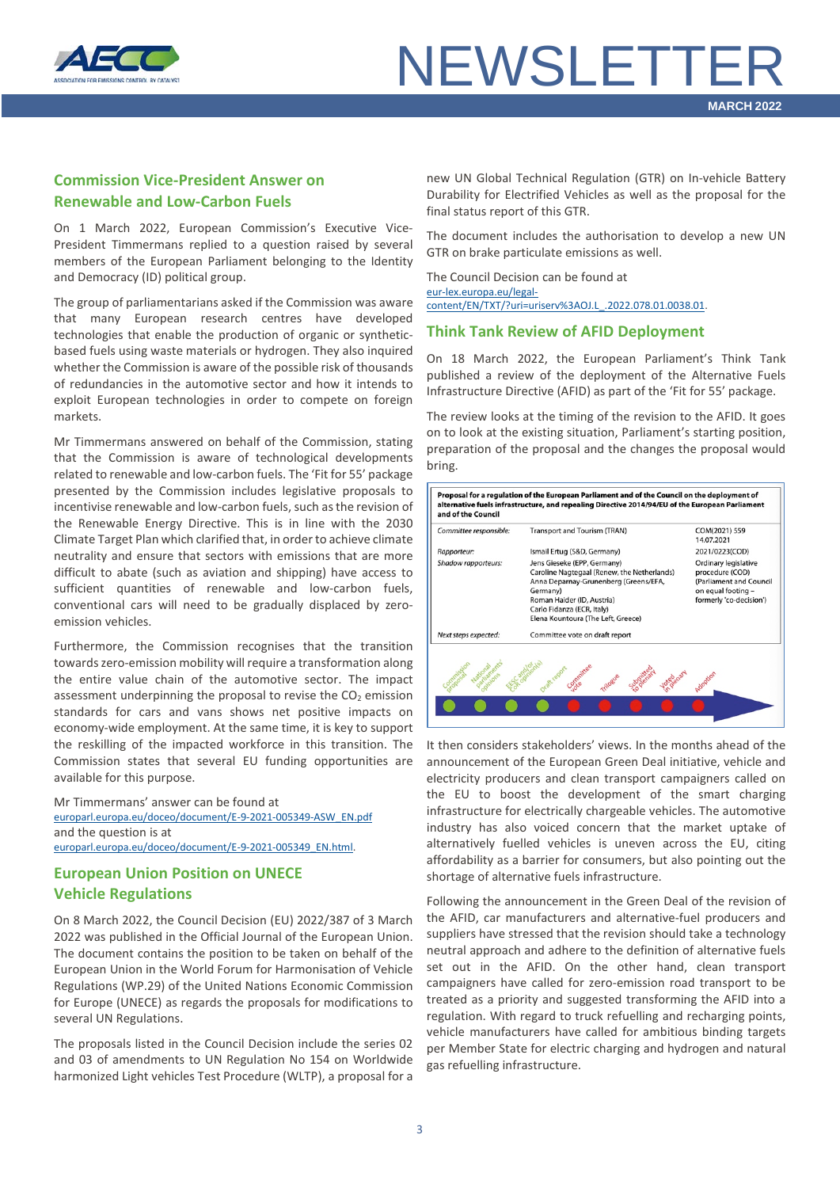

### <span id="page-2-0"></span>**Commission Vice-President Answer on Renewable and Low-Carbon Fuels**

On 1 March 2022, European Commission's Executive Vice-President Timmermans replied to a question raised by several members of the European Parliament belonging to the Identity and Democracy (ID) political group.

The group of parliamentarians asked if the Commission was aware that many European research centres have developed technologies that enable the production of organic or syntheticbased fuels using waste materials or hydrogen. They also inquired whether the Commission is aware of the possible risk of thousands of redundancies in the automotive sector and how it intends to exploit European technologies in order to compete on foreign markets.

Mr Timmermans answered on behalf of the Commission, stating that the Commission is aware of technological developments related to renewable and low-carbon fuels. The 'Fit for 55' package presented by the Commission includes legislative proposals to incentivise renewable and low-carbon fuels, such as the revision of the Renewable Energy Directive. This is in line with the 2030 Climate Target Plan which clarified that, in order to achieve climate neutrality and ensure that sectors with emissions that are more difficult to abate (such as aviation and shipping) have access to sufficient quantities of renewable and low-carbon fuels, conventional cars will need to be gradually displaced by zeroemission vehicles.

Furthermore, the Commission recognises that the transition towards zero-emission mobility will require a transformation along the entire value chain of the automotive sector. The impact assessment underpinning the proposal to revise the  $CO<sub>2</sub>$  emission standards for cars and vans shows net positive impacts on economy-wide employment. At the same time, it is key to support the reskilling of the impacted workforce in this transition. The Commission states that several EU funding opportunities are available for this purpose.

Mr Timmermans' answer can be found at [europarl.europa.eu/doceo/document/E-9-2021-005349-ASW\\_EN.pdf](https://www.europarl.europa.eu/doceo/document/E-9-2021-005349-ASW_EN.pdf) and the question is at [europarl.europa.eu/doceo/document/E-9-2021-005349\\_EN.html.](https://www.europarl.europa.eu/doceo/document/E-9-2021-005349_EN.html)

# <span id="page-2-1"></span>**European Union Position on UNECE Vehicle Regulations**

On 8 March 2022, the Council Decision (EU) 2022/387 of 3 March 2022 was published in the Official Journal of the European Union. The document contains the position to be taken on behalf of the European Union in the World Forum for Harmonisation of Vehicle Regulations (WP.29) of the United Nations Economic Commission for Europe (UNECE) as regards the proposals for modifications to several UN Regulations.

The proposals listed in the Council Decision include the series 02 and 03 of amendments to UN Regulation No 154 on Worldwide harmonized Light vehicles Test Procedure (WLTP), a proposal for a

new UN Global Technical Regulation (GTR) on In-vehicle Battery Durability for Electrified Vehicles as well as the proposal for the final status report of this GTR.

The document includes the authorisation to develop a new UN GTR on brake particulate emissions as well.

The Council Decision can be found at [eur-lex.europa.eu/legal](https://eur-lex.europa.eu/legal-content/EN/TXT/?uri=uriserv%3AOJ.L_.2022.078.01.0038.01.ENG&toc=OJ%3AL%3A2022%3A078%3ATOC)[content/EN/TXT/?uri=uriserv%3AOJ.L\\_.2022.078.01.0038.01.](https://eur-lex.europa.eu/legal-content/EN/TXT/?uri=uriserv%3AOJ.L_.2022.078.01.0038.01.ENG&toc=OJ%3AL%3A2022%3A078%3ATOC)

#### <span id="page-2-2"></span>**Think Tank Review of AFID Deployment**

On 18 March 2022, the European Parliament's Think Tank published a review of the deployment of the Alternative Fuels Infrastructure Directive (AFID) as part of the 'Fit for 55' package.

The review looks at the timing of the revision to the AFID. It goes on to look at the existing situation, Parliament's starting position, preparation of the proposal and the changes the proposal would bring.



It then considers stakeholders' views. In the months ahead of the announcement of the European Green Deal initiative, vehicle and electricity producers and clean transport campaigners called on the EU to boost the development of the smart charging infrastructure for electrically chargeable vehicles. The automotive industry has also voiced concern that the market uptake of alternatively fuelled vehicles is uneven across the EU, citing affordability as a barrier for consumers, but also pointing out the shortage of alternative fuels infrastructure.

Following the announcement in the Green Deal of the revision of the AFID, car manufacturers and alternative-fuel producers and suppliers have stressed that the revision should take a technology neutral approach and adhere to the definition of alternative fuels set out in the AFID. On the other hand, clean transport campaigners have called for zero-emission road transport to be treated as a priority and suggested transforming the AFID into a regulation. With regard to truck refuelling and recharging points, vehicle manufacturers have called for ambitious binding targets per Member State for electric charging and hydrogen and natural gas refuelling infrastructure.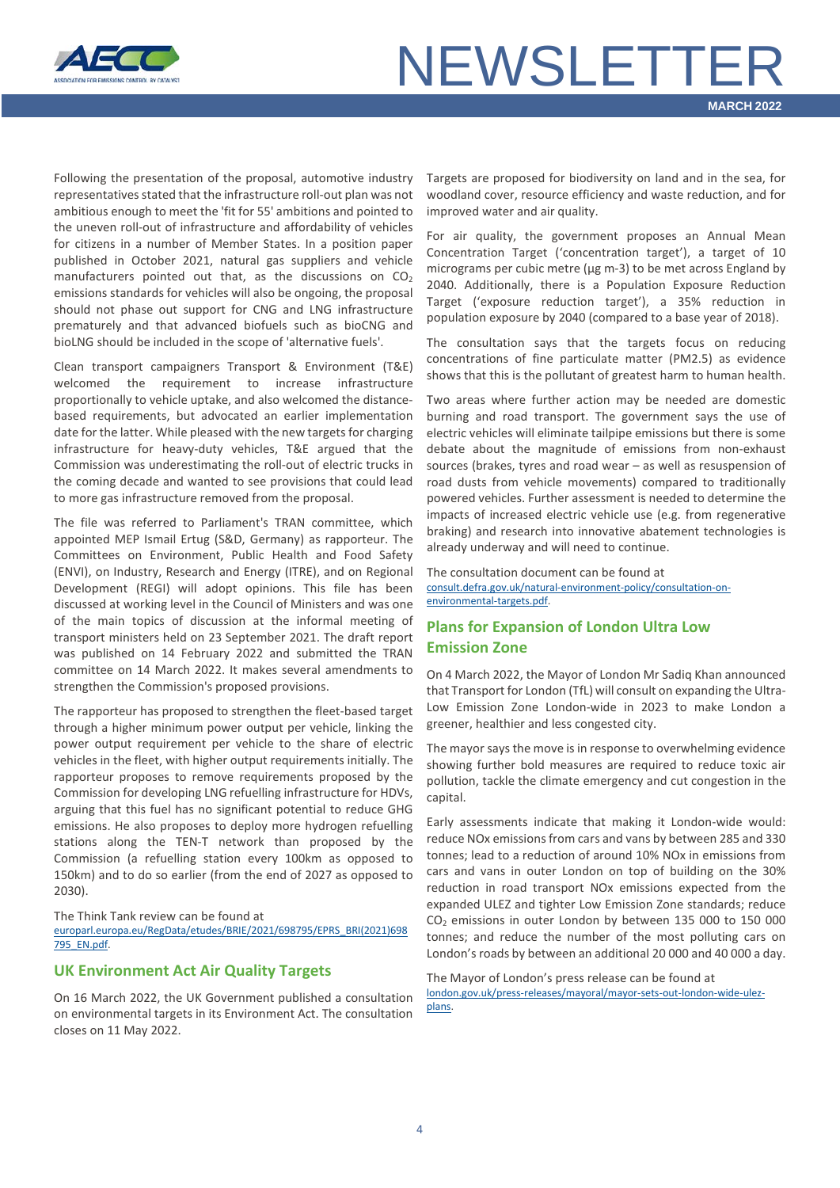

Following the presentation of the proposal, automotive industry representatives stated that the infrastructure roll-out plan was not ambitious enough to meet the 'fit for 55' ambitions and pointed to the uneven roll-out of infrastructure and affordability of vehicles for citizens in a number of Member States. In a position paper published in October 2021, natural gas suppliers and vehicle manufacturers pointed out that, as the discussions on  $CO<sub>2</sub>$ emissions standards for vehicles will also be ongoing, the proposal should not phase out support for CNG and LNG infrastructure prematurely and that advanced biofuels such as bioCNG and bioLNG should be included in the scope of 'alternative fuels'.

Clean transport campaigners Transport & Environment (T&E) welcomed the requirement to increase infrastructure proportionally to vehicle uptake, and also welcomed the distancebased requirements, but advocated an earlier implementation date for the latter. While pleased with the new targets for charging infrastructure for heavy-duty vehicles, T&E argued that the Commission was underestimating the roll-out of electric trucks in the coming decade and wanted to see provisions that could lead to more gas infrastructure removed from the proposal.

The file was referred to Parliament's TRAN committee, which appointed MEP Ismail Ertug (S&D, Germany) as rapporteur. The Committees on Environment, Public Health and Food Safety (ENVI), on Industry, Research and Energy (ITRE), and on Regional Development (REGI) will adopt opinions. This file has been discussed at working level in the Council of Ministers and was one of the main topics of discussion at the informal meeting of transport ministers held on 23 September 2021. The draft report was published on 14 February 2022 and submitted the TRAN committee on 14 March 2022. It makes several amendments to strengthen the Commission's proposed provisions.

The rapporteur has proposed to strengthen the fleet-based target through a higher minimum power output per vehicle, linking the power output requirement per vehicle to the share of electric vehicles in the fleet, with higher output requirements initially. The rapporteur proposes to remove requirements proposed by the Commission for developing LNG refuelling infrastructure for HDVs, arguing that this fuel has no significant potential to reduce GHG emissions. He also proposes to deploy more hydrogen refuelling stations along the TEN-T network than proposed by the Commission (a refuelling station every 100km as opposed to 150km) and to do so earlier (from the end of 2027 as opposed to 2030).

The Think Tank review can be found at

[europarl.europa.eu/RegData/etudes/BRIE/2021/698795/EPRS\\_BRI\(2021\)698](https://www.europarl.europa.eu/RegData/etudes/BRIE/2021/698795/EPRS_BRI(2021)698795_EN.pdf) [795\\_EN.pdf.](https://www.europarl.europa.eu/RegData/etudes/BRIE/2021/698795/EPRS_BRI(2021)698795_EN.pdf)

#### <span id="page-3-0"></span>**UK Environment Act Air Quality Targets**

On 16 March 2022, the UK Government published a consultation on environmental targets in its Environment Act. The consultation closes on 11 May 2022.

Targets are proposed for biodiversity on land and in the sea, for woodland cover, resource efficiency and waste reduction, and for improved water and air quality.

For air quality, the government proposes an Annual Mean Concentration Target ('concentration target'), a target of 10 micrograms per cubic metre (µg m-3) to be met across England by 2040. Additionally, there is a Population Exposure Reduction Target ('exposure reduction target'), a 35% reduction in population exposure by 2040 (compared to a base year of 2018).

The consultation says that the targets focus on reducing concentrations of fine particulate matter (PM2.5) as evidence shows that this is the pollutant of greatest harm to human health.

Two areas where further action may be needed are domestic burning and road transport. The government says the use of electric vehicles will eliminate tailpipe emissions but there is some debate about the magnitude of emissions from non-exhaust sources (brakes, tyres and road wear – as well as resuspension of road dusts from vehicle movements) compared to traditionally powered vehicles. Further assessment is needed to determine the impacts of increased electric vehicle use (e.g. from regenerative braking) and research into innovative abatement technologies is already underway and will need to continue.

The consultation document can be found at [consult.defra.gov.uk/natural-environment-policy/consultation-on](https://consult.defra.gov.uk/natural-environment-policy/consultation-on-environmental-targets/supporting_documents/Environment%20Targets%20Public%20Consultation.pdf)[environmental-targets.pdf.](https://consult.defra.gov.uk/natural-environment-policy/consultation-on-environmental-targets/supporting_documents/Environment%20Targets%20Public%20Consultation.pdf)

# <span id="page-3-1"></span>**Plans for Expansion of London Ultra Low Emission Zone**

On 4 March 2022, the Mayor of London Mr Sadiq Khan announced that Transport for London (TfL) will consult on expanding the Ultra-Low Emission Zone London-wide in 2023 to make London a greener, healthier and less congested city.

The mayor says the move is in response to overwhelming evidence showing further bold measures are required to reduce toxic air pollution, tackle the climate emergency and cut congestion in the capital.

Early assessments indicate that making it London-wide would: reduce NOx emissions from cars and vans by between 285 and 330 tonnes; lead to a reduction of around 10% NOx in emissions from cars and vans in outer London on top of building on the 30% reduction in road transport NOx emissions expected from the expanded ULEZ and tighter Low Emission Zone standards; reduce CO2 emissions in outer London by between 135 000 to 150 000 tonnes; and reduce the number of the most polluting cars on London's roads by between an additional 20 000 and 40 000 a day.

The Mayor of London's press release can be found at [london.gov.uk/press-releases/mayoral/mayor-sets-out-london-wide-ulez](https://www.london.gov.uk/press-releases/mayoral/mayor-sets-out-london-wide-ulez-plans)[plans.](https://www.london.gov.uk/press-releases/mayoral/mayor-sets-out-london-wide-ulez-plans)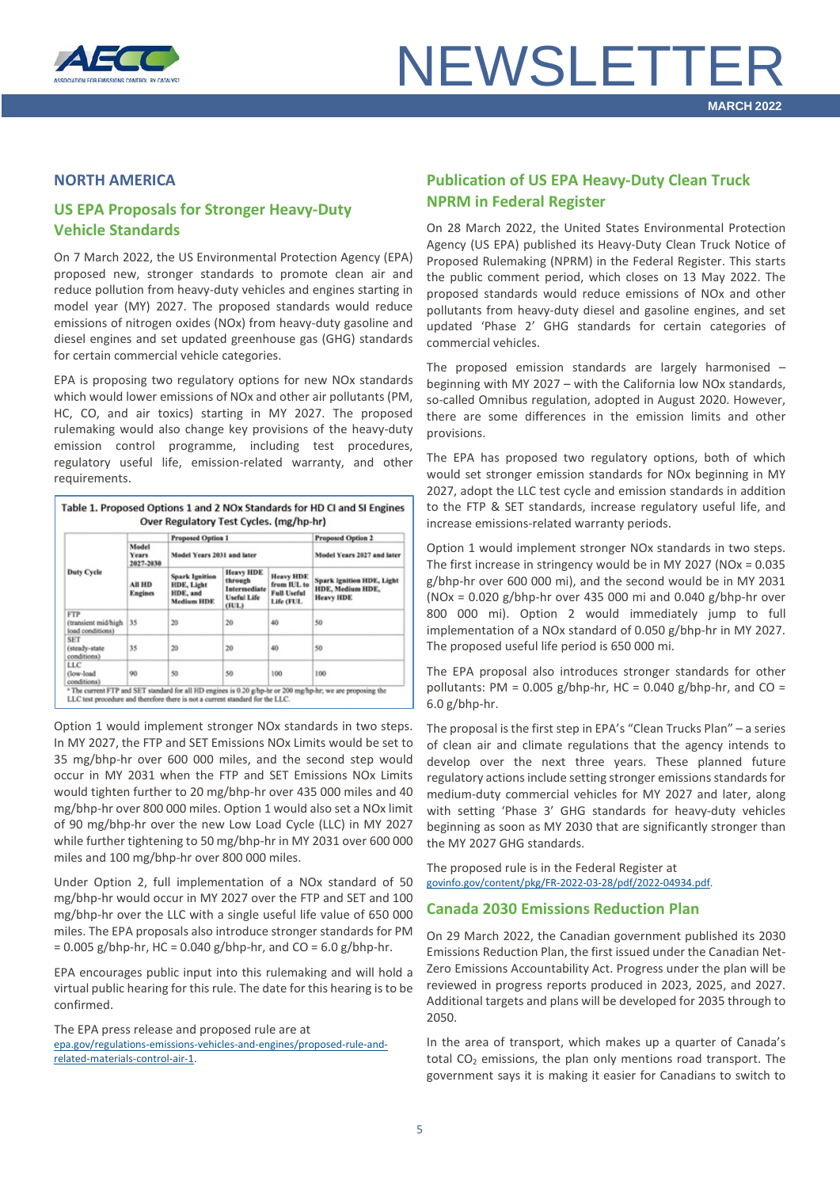

#### <span id="page-4-0"></span>**NORTH AMERICA**

# <span id="page-4-1"></span>**US EPA Proposals for Stronger Heavy-Duty Vehicle Standards**

On 7 March 2022, the US Environmental Protection Agency (EPA) proposed new, stronger standards to promote clean air and reduce pollution from heavy-duty vehicles and engines starting in model year (MY) 2027. The proposed standards would reduce emissions of nitrogen oxides (NOx) from heavy-duty gasoline and diesel engines and set updated greenhouse gas (GHG) standards for certain commercial vehicle categories.

EPA is proposing two regulatory options for new NOx standards which would lower emissions of NOx and other air pollutants (PM, HC, CO, and air toxics) starting in MY 2027. The proposed rulemaking would also change key provisions of the heavy-duty emission control programme, including test procedures, regulatory useful life, emission-related warranty, and other requirements.

| <b>Duty Cycle</b>                                     |                                 | <b>Proposed Option 1</b><br>Model Years 2031 and later               |                                                                     |                                                                    | <b>Proposed Option 2</b>                                          |
|-------------------------------------------------------|---------------------------------|----------------------------------------------------------------------|---------------------------------------------------------------------|--------------------------------------------------------------------|-------------------------------------------------------------------|
|                                                       | Model<br>Years<br>2027-2030     |                                                                      |                                                                     |                                                                    | Model Years 2027 and later                                        |
|                                                       | <b>All HD</b><br><b>Engines</b> | <b>Spark Ignition</b><br>HDE, Light<br>HDE, and<br><b>Medium HDE</b> | <b>Heavy HDE</b><br>through<br>Intermediate<br>Useful Life<br>(IUL) | <b>Heavy HDE</b><br>from IUL to<br><b>Full Useful</b><br>Life (FUL | Spark Ignition HDE, Light<br>HDE, Medium HDE,<br><b>Heavy HDE</b> |
| <b>FTP</b><br>(transient mid/high<br>load conditions) | 35                              | 20                                                                   | 20                                                                  | 40                                                                 | 50                                                                |
| <b>SET</b><br>(steady-state<br>conditions)            | 35                              | 20                                                                   | 20                                                                  | 40                                                                 | 50                                                                |
| LLC<br>(low-load<br>conditions)                       | 90                              | 50                                                                   | 50                                                                  | 100                                                                | 100                                                               |

Option 1 would implement stronger NOx standards in two steps. In MY 2027, the FTP and SET Emissions NOx Limits would be set to 35 mg/bhp-hr over 600 000 miles, and the second step would occur in MY 2031 when the FTP and SET Emissions NOx Limits would tighten further to 20 mg/bhp-hr over 435 000 miles and 40 mg/bhp-hr over 800 000 miles. Option 1 would also set a NOx limit of 90 mg/bhp-hr over the new Low Load Cycle (LLC) in MY 2027 while further tightening to 50 mg/bhp-hr in MY 2031 over 600 000 miles and 100 mg/bhp-hr over 800 000 miles.

Under Option 2, full implementation of a NOx standard of 50 mg/bhp-hr would occur in MY 2027 over the FTP and SET and 100 mg/bhp-hr over the LLC with a single useful life value of 650 000 miles. The EPA proposals also introduce stronger standards for PM  $= 0.005$  g/bhp-hr, HC = 0.040 g/bhp-hr, and CO = 6.0 g/bhp-hr.

EPA encourages public input into this rulemaking and will hold a virtual public hearing for this rule. The date for this hearing is to be confirmed.

The EPA press release and proposed rule are at [epa.gov/regulations-emissions-vehicles-and-engines/proposed-rule-and](https://www.epa.gov/regulations-emissions-vehicles-and-engines/proposed-rule-and-related-materials-control-air-1)[related-materials-control-air-1.](https://www.epa.gov/regulations-emissions-vehicles-and-engines/proposed-rule-and-related-materials-control-air-1)

### <span id="page-4-2"></span>**Publication of US EPA Heavy-Duty Clean Truck NPRM in Federal Register**

On 28 March 2022, the United States Environmental Protection Agency (US EPA) published its Heavy-Duty Clean Truck Notice of Proposed Rulemaking (NPRM) in the Federal Register. This starts the public comment period, which closes on 13 May 2022. The proposed standards would reduce emissions of NOx and other pollutants from heavy-duty diesel and gasoline engines, and set updated 'Phase 2' GHG standards for certain categories of commercial vehicles.

The proposed emission standards are largely harmonised – beginning with MY 2027 – with the California low NOx standards, so-called Omnibus regulation, adopted in August 2020. However, there are some differences in the emission limits and other provisions.

The EPA has proposed two regulatory options, both of which would set stronger emission standards for NOx beginning in MY 2027, adopt the LLC test cycle and emission standards in addition to the FTP & SET standards, increase regulatory useful life, and increase emissions-related warranty periods.

Option 1 would implement stronger NOx standards in two steps. The first increase in stringency would be in MY 2027 (NOx = 0.035 g/bhp-hr over 600 000 mi), and the second would be in MY 2031 (NOx =  $0.020$  g/bhp-hr over 435 000 mi and  $0.040$  g/bhp-hr over 800 000 mi). Option 2 would immediately jump to full implementation of a NOx standard of 0.050 g/bhp-hr in MY 2027. The proposed useful life period is 650 000 mi.

The EPA proposal also introduces stronger standards for other pollutants: PM =  $0.005$  g/bhp-hr, HC =  $0.040$  g/bhp-hr, and CO = 6.0 g/bhp-hr.

The proposal is the first step in EPA's "Clean Trucks Plan" – a series of clean air and climate regulations that the agency intends to develop over the next three years. These planned future regulatory actions include setting stronger emissions standards for medium-duty commercial vehicles for MY 2027 and later, along with setting 'Phase 3' GHG standards for heavy-duty vehicles beginning as soon as MY 2030 that are significantly stronger than the MY 2027 GHG standards.

The proposed rule is in the Federal Register at [govinfo.gov/content/pkg/FR-2022-03-28/pdf/2022-04934.pdf.](https://www.govinfo.gov/content/pkg/FR-2022-03-28/pdf/2022-04934.pdf)

#### <span id="page-4-3"></span>**Canada 2030 Emissions Reduction Plan**

On 29 March 2022, the Canadian government published its 2030 Emissions Reduction Plan, the first issued under the Canadian Net-Zero Emissions Accountability Act. Progress under the plan will be reviewed in progress reports produced in 2023, 2025, and 2027. Additional targets and plans will be developed for 2035 through to 2050.

In the area of transport, which makes up a quarter of Canada's total  $CO<sub>2</sub>$  emissions, the plan only mentions road transport. The government says it is making it easier for Canadians to switch to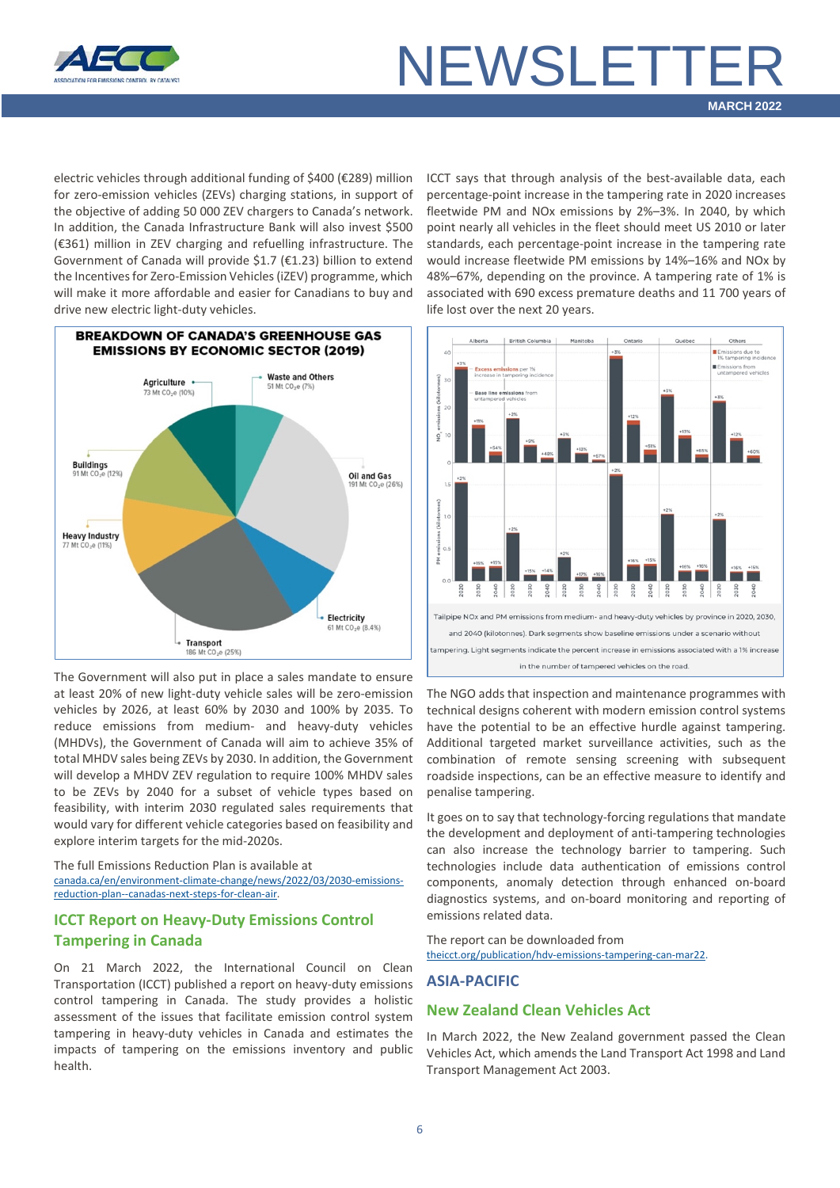

electric vehicles through additional funding of \$400 (€289) million for zero-emission vehicles (ZEVs) charging stations, in support of the objective of adding 50 000 ZEV chargers to Canada's network. In addition, the Canada Infrastructure Bank will also invest \$500 (€361) million in ZEV charging and refuelling infrastructure. The Government of Canada will provide \$1.7 (€1.23) billion to extend the Incentives for Zero-Emission Vehicles (iZEV) programme, which will make it more affordable and easier for Canadians to buy and drive new electric light-duty vehicles.



The Government will also put in place a sales mandate to ensure at least 20% of new light-duty vehicle sales will be zero-emission vehicles by 2026, at least 60% by 2030 and 100% by 2035. To reduce emissions from medium- and heavy-duty vehicles (MHDVs), the Government of Canada will aim to achieve 35% of total MHDV sales being ZEVs by 2030. In addition, the Government will develop a MHDV ZEV regulation to require 100% MHDV sales to be ZEVs by 2040 for a subset of vehicle types based on feasibility, with interim 2030 regulated sales requirements that would vary for different vehicle categories based on feasibility and explore interim targets for the mid-2020s.

The full Emissions Reduction Plan is available at [canada.ca/en/environment-climate-change/news/2022/03/2030-emissions](https://www.canada.ca/en/environment-climate-change/news/2022/03/2030-emissions-reduction-plan--canadas-next-steps-for-clean-air-and-a-strong-economy.html)[reduction-plan--canadas-next-steps-for-clean-air.](https://www.canada.ca/en/environment-climate-change/news/2022/03/2030-emissions-reduction-plan--canadas-next-steps-for-clean-air-and-a-strong-economy.html)

### <span id="page-5-0"></span>**ICCT Report on Heavy-Duty Emissions Control Tampering in Canada**

On 21 March 2022, the International Council on Clean Transportation (ICCT) published a report on heavy-duty emissions control tampering in Canada. The study provides a holistic assessment of the issues that facilitate emission control system tampering in heavy-duty vehicles in Canada and estimates the impacts of tampering on the emissions inventory and public health.

ICCT says that through analysis of the best-available data, each percentage-point increase in the tampering rate in 2020 increases fleetwide PM and NOx emissions by 2%–3%. In 2040, by which point nearly all vehicles in the fleet should meet US 2010 or later standards, each percentage-point increase in the tampering rate would increase fleetwide PM emissions by 14%–16% and NOx by 48%–67%, depending on the province. A tampering rate of 1% is associated with 690 excess premature deaths and 11 700 years of life lost over the next 20 years.



The NGO adds that inspection and maintenance programmes with technical designs coherent with modern emission control systems have the potential to be an effective hurdle against tampering. Additional targeted market surveillance activities, such as the combination of remote sensing screening with subsequent roadside inspections, can be an effective measure to identify and penalise tampering.

It goes on to say that technology-forcing regulations that mandate the development and deployment of anti-tampering technologies can also increase the technology barrier to tampering. Such technologies include data authentication of emissions control components, anomaly detection through enhanced on-board diagnostics systems, and on-board monitoring and reporting of emissions related data.

The report can be downloaded from [theicct.org/publication/hdv-emissions-tampering-can-mar22.](https://theicct.org/publication/hdv-emissions-tampering-can-mar22/)

#### <span id="page-5-1"></span>**ASIA-PACIFIC**

#### <span id="page-5-2"></span>**New Zealand Clean Vehicles Act**

In March 2022, the New Zealand government passed the Clean Vehicles Act, which amends the Land Transport Act 1998 and Land Transport Management Act 2003.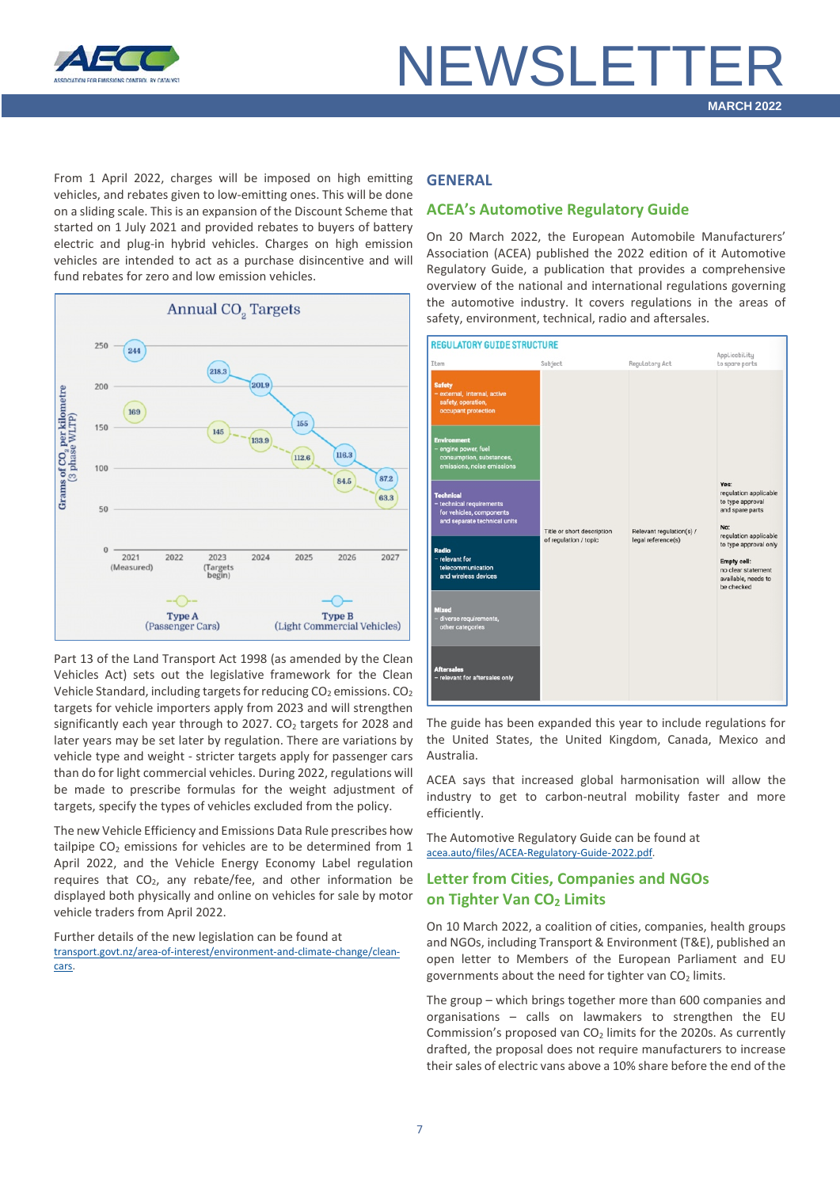

From 1 April 2022, charges will be imposed on high emitting vehicles, and rebates given to low-emitting ones. This will be done on a sliding scale. This is an expansion of the Discount Scheme that started on 1 July 2021 and provided rebates to buyers of battery electric and plug-in hybrid vehicles. Charges on high emission vehicles are intended to act as a purchase disincentive and will fund rebates for zero and low emission vehicles.



Part 13 of the Land Transport Act 1998 (as amended by the Clean Vehicles Act) sets out the legislative framework for the Clean Vehicle Standard, including targets for reducing  $CO<sub>2</sub>$  emissions.  $CO<sub>2</sub>$ targets for vehicle importers apply from 2023 and will strengthen significantly each year through to 2027.  $CO<sub>2</sub>$  targets for 2028 and later years may be set later by regulation. There are variations by vehicle type and weight - stricter targets apply for passenger cars than do for light commercial vehicles. During 2022, regulations will be made to prescribe formulas for the weight adjustment of targets, specify the types of vehicles excluded from the policy.

The new Vehicle Efficiency and Emissions Data Rule prescribes how tailpipe  $CO<sub>2</sub>$  emissions for vehicles are to be determined from 1 April 2022, and the Vehicle Energy Economy Label regulation requires that  $CO<sub>2</sub>$ , any rebate/fee, and other information be displayed both physically and online on vehicles for sale by motor vehicle traders from April 2022.

Further details of the new legislation can be found at [transport.govt.nz/area-of-interest/environment-and-climate-change/clean](https://www.transport.govt.nz/area-of-interest/environment-and-climate-change/clean-cars/)[cars.](https://www.transport.govt.nz/area-of-interest/environment-and-climate-change/clean-cars/)

#### <span id="page-6-0"></span>**GENERAL**

### <span id="page-6-1"></span>**ACEA's Automotive Regulatory Guide**

On 20 March 2022, the European Automobile Manufacturers' Association (ACEA) published the 2022 edition of it Automotive Regulatory Guide, a publication that provides a comprehensive overview of the national and international regulations governing the automotive industry. It covers regulations in the areas of safety, environment, technical, radio and aftersales.

| <b>REGULATORY GUIDE STRUCTURE</b>                                                                        |                            |                          |                                                                                                                                                                                                         |  |  |  |  |
|----------------------------------------------------------------------------------------------------------|----------------------------|--------------------------|---------------------------------------------------------------------------------------------------------------------------------------------------------------------------------------------------------|--|--|--|--|
| Item                                                                                                     | Subject                    | Regulatory Act           | Applicability<br>to spare parts                                                                                                                                                                         |  |  |  |  |
| <b>Safety</b><br>- external, internal, active<br>safety, operation,<br>occupant protection               |                            |                          | Yes:<br>regulation applicable<br>to type approval<br>and spare parts<br>No:<br>regulation applicable<br>to type approval only<br>Empty cell:<br>no clear statement<br>available, needs to<br>be checked |  |  |  |  |
| <b>Environment</b><br>engine power, fuel<br>consumption, substances,<br>emissions, noise emissions       |                            |                          |                                                                                                                                                                                                         |  |  |  |  |
| <b>Technical</b><br>- technical requirements<br>for vehicles, components<br>and separate technical units | Title or short description | Relevant regulation(s) / |                                                                                                                                                                                                         |  |  |  |  |
| Radio<br>- relevant for<br>telecommunication<br>and wireless devices                                     | of regulation / topic      | legal reference(s)       |                                                                                                                                                                                                         |  |  |  |  |
| <b>Mixed</b><br>- diverse requirements,<br>other categories                                              |                            |                          |                                                                                                                                                                                                         |  |  |  |  |
| <b>Aftersales</b><br>- relevant for aftersales only                                                      |                            |                          |                                                                                                                                                                                                         |  |  |  |  |

The guide has been expanded this year to include regulations for the United States, the United Kingdom, Canada, Mexico and Australia.

ACEA says that increased global harmonisation will allow the industry to get to carbon-neutral mobility faster and more efficiently.

The Automotive Regulatory Guide can be found at [acea.auto/files/ACEA-Regulatory-Guide-2022.pdf.](https://www.acea.auto/files/ACEA-Regulatory-Guide-2022.pdf?utm_source=mailpoet&utm_medium=email&utm_campaign=newsletter-post-title_191)

### <span id="page-6-2"></span>**Letter from Cities, Companies and NGOs on Tighter Van CO2 Limits**

On 10 March 2022, a coalition of cities, companies, health groups and NGOs, including Transport & Environment (T&E), published an open letter to Members of the European Parliament and EU governments about the need for tighter van  $CO<sub>2</sub>$  limits.

The group – which brings together more than 600 companies and organisations – calls on lawmakers to strengthen the EU Commission's proposed van  $CO<sub>2</sub>$  limits for the 2020s. As currently drafted, the proposal does not require manufacturers to increase their sales of electric vans above a 10% share before the end of the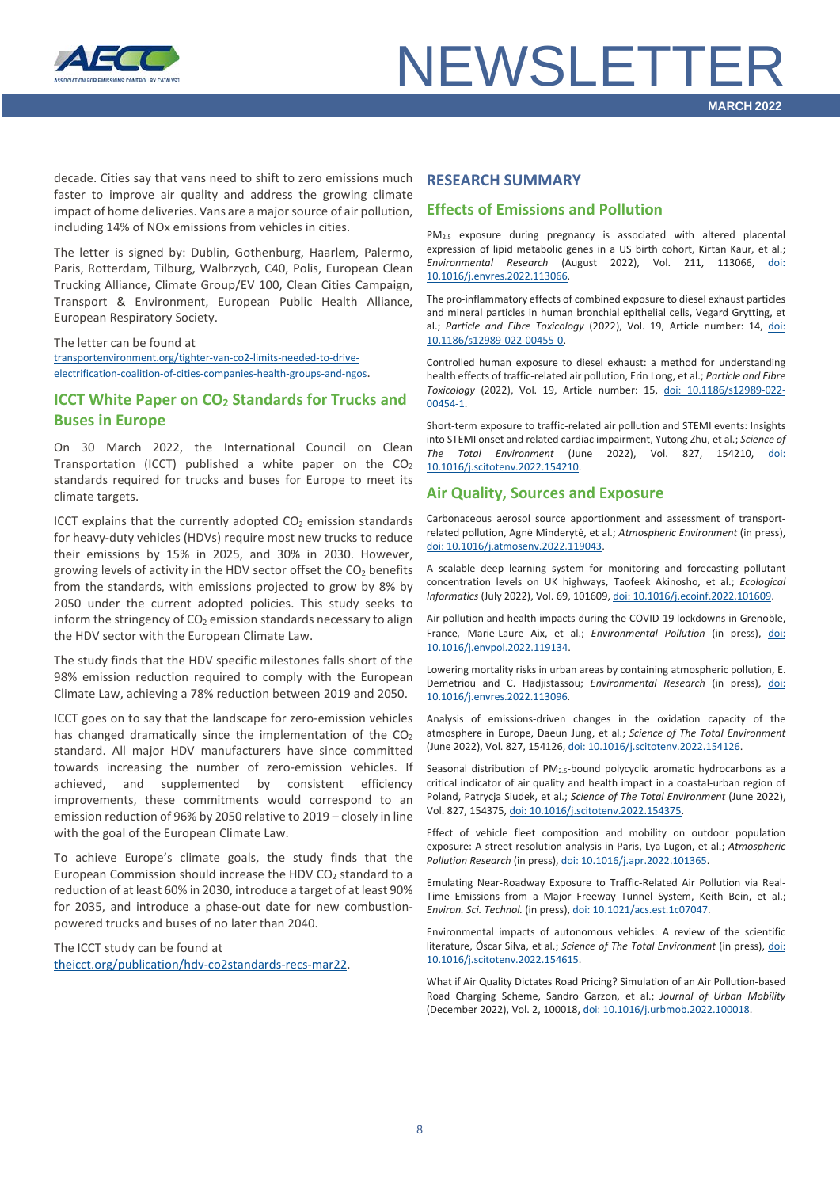

decade. Cities say that vans need to shift to zero emissions much faster to improve air quality and address the growing climate impact of home deliveries. Vans are a major source of air pollution, including 14% of NOx emissions from vehicles in cities.

The letter is signed by: Dublin, Gothenburg, Haarlem, Palermo, Paris, Rotterdam, Tilburg, Walbrzych, C40, Polis, European Clean Trucking Alliance, Climate Group/EV 100, Clean Cities Campaign, Transport & Environment, European Public Health Alliance, European Respiratory Society.

The letter can be found at [transportenvironment.org/tighter-van-co2-limits-needed-to-drive](https://www.transportenvironment.org/discover/tighter-van-co2-limits-needed-to-drive-electrification-says-coalition-of-cities-companies-health-groups-and-ngos/)[electrification-coalition-of-cities-companies-health-groups-and-ngos.](https://www.transportenvironment.org/discover/tighter-van-co2-limits-needed-to-drive-electrification-says-coalition-of-cities-companies-health-groups-and-ngos/)

### <span id="page-7-0"></span>**ICCT White Paper on CO<sub>2</sub> Standards for Trucks and Buses in Europe**

On 30 March 2022, the International Council on Clean Transportation (ICCT) published a white paper on the  $CO<sub>2</sub>$ standards required for trucks and buses for Europe to meet its climate targets.

ICCT explains that the currently adopted  $CO<sub>2</sub>$  emission standards for heavy-duty vehicles (HDVs) require most new trucks to reduce their emissions by 15% in 2025, and 30% in 2030. However, growing levels of activity in the HDV sector offset the  $CO<sub>2</sub>$  benefits from the standards, with emissions projected to grow by 8% by 2050 under the current adopted policies. This study seeks to inform the stringency of  $CO<sub>2</sub>$  emission standards necessary to align the HDV sector with the European Climate Law.

The study finds that the HDV specific milestones falls short of the 98% emission reduction required to comply with the European Climate Law, achieving a 78% reduction between 2019 and 2050.

ICCT goes on to say that the landscape for zero-emission vehicles has changed dramatically since the implementation of the  $CO<sub>2</sub>$ standard. All major HDV manufacturers have since committed towards increasing the number of zero-emission vehicles. If achieved, and supplemented by consistent efficiency improvements, these commitments would correspond to an emission reduction of 96% by 2050 relative to 2019 – closely in line with the goal of the European Climate Law.

To achieve Europe's climate goals, the study finds that the European Commission should increase the HDV CO<sub>2</sub> standard to a reduction of at least 60% in 2030, introduce a target of at least 90% for 2035, and introduce a phase-out date for new combustionpowered trucks and buses of no later than 2040.

The ICCT study can be found at [theicct.org/publication/hdv-co2standards-recs-mar22.](https://theicct.org/publication/hdv-co2standards-recs-mar22/)

#### <span id="page-7-1"></span>**RESEARCH SUMMARY**

#### **Effects of Emissions and Pollution**

PM2.5 exposure during pregnancy is associated with altered placental expression of lipid metabolic genes in a US birth cohort, Kirtan Kaur, et al.; *Environmental Research* (August 2022), Vol. 211, 113066, [doi:](https://doi.org/10.1016/j.envres.2022.113066)  [10.1016/j.envres.2022.113066.](https://doi.org/10.1016/j.envres.2022.113066)

The pro-inflammatory effects of combined exposure to diesel exhaust particles and mineral particles in human bronchial epithelial cells, Vegard Grytting, et al.; *Particle and Fibre Toxicology* (2022), Vol. 19, Article number: 14, [doi:](https://doi.org/10.1186/s12989-022-00455-0)  [10.1186/s12989-022-00455-0.](https://doi.org/10.1186/s12989-022-00455-0)

Controlled human exposure to diesel exhaust: a method for understanding health effects of traffic-related air pollution, Erin Long, et al.; *Particle and Fibre Toxicology* (2022), Vol. 19, Article number: 15, [doi: 10.1186/s12989-022-](https://doi.org/10.1186/s12989-022-00454-1) [00454-1.](https://doi.org/10.1186/s12989-022-00454-1)

Short-term exposure to traffic-related air pollution and STEMI events: Insights into STEMI onset and related cardiac impairment, Yutong Zhu, et al.; *Science of The Total Environment* (June 2022), Vol. 827, 154210, [doi:](https://doi.org/10.1016/j.scitotenv.2022.154210)  [10.1016/j.scitotenv.2022.154210.](https://doi.org/10.1016/j.scitotenv.2022.154210)

#### **Air Quality, Sources and Exposure**

Carbonaceous aerosol source apportionment and assessment of transportrelated pollution, Agnė Minderytė, et al.; *Atmospheric Environment* (in press), [doi: 10.1016/j.atmosenv.2022.119043.](https://doi.org/10.1016/j.atmosenv.2022.119043)

A scalable deep learning system for monitoring and forecasting pollutant concentration levels on UK highways, Taofeek Akinosho, et al.; *Ecological Informatics* (July 2022), Vol. 69, 101609[, doi: 10.1016/j.ecoinf.2022.101609.](https://doi.org/10.1016/j.ecoinf.2022.101609)

Air pollution and health impacts during the COVID-19 lockdowns in Grenoble, France, Marie-Laure Aix, et al.; *Environmental Pollution* (in press), [doi:](https://doi.org/10.1016/j.envpol.2022.119134)  [10.1016/j.envpol.2022.119134.](https://doi.org/10.1016/j.envpol.2022.119134)

Lowering mortality risks in urban areas by containing atmospheric pollution, E. Demetriou and C. Hadjistassou; *Environmental Research* (in press), [doi:](https://doi.org/10.1016/j.envres.2022.113096)  [10.1016/j.envres.2022.113096.](https://doi.org/10.1016/j.envres.2022.113096)

Analysis of emissions-driven changes in the oxidation capacity of the atmosphere in Europe, Daeun Jung, et al.; *Science of The Total Environment* (June 2022), Vol. 827, 154126[, doi: 10.1016/j.scitotenv.2022.154126.](https://doi.org/10.1016/j.scitotenv.2022.154126)

Seasonal distribution of PM<sub>2.5</sub>-bound polycyclic aromatic hydrocarbons as a critical indicator of air quality and health impact in a coastal-urban region of Poland, Patrycja Siudek, et al.; *Science of The Total Environment* (June 2022), Vol. 827, 154375[, doi: 10.1016/j.scitotenv.2022.154375.](https://doi.org/10.1016/j.scitotenv.2022.154375)

Effect of vehicle fleet composition and mobility on outdoor population exposure: A street resolution analysis in Paris, Lya Lugon, et al.; *Atmospheric Pollution Research* (in press)[, doi: 10.1016/j.apr.2022.101365.](https://doi.org/10.1016/j.apr.2022.101365)

Emulating Near-Roadway Exposure to Traffic-Related Air Pollution via Real-Time Emissions from a Major Freeway Tunnel System, Keith Bein, et al.; *Environ. Sci. Technol.* (in press), doi: [10.1021/acs.est.1c07047.](https://doi.org/10.1021/acs.est.1c07047)

Environmental impacts of autonomous vehicles: A review of the scientific literature, Óscar Silva, et al.; *Science of The Total Environment* (in press)[, doi:](https://doi.org/10.1016/j.scitotenv.2022.154615)  [10.1016/j.scitotenv.2022.154615.](https://doi.org/10.1016/j.scitotenv.2022.154615)

What if Air Quality Dictates Road Pricing? Simulation of an Air Pollution-based Road Charging Scheme, Sandro Garzon, et al.; *Journal of Urban Mobility* (December 2022), Vol. 2, 100018[, doi: 10.1016/j.urbmob.2022.100018.](https://doi.org/10.1016/j.urbmob.2022.100018)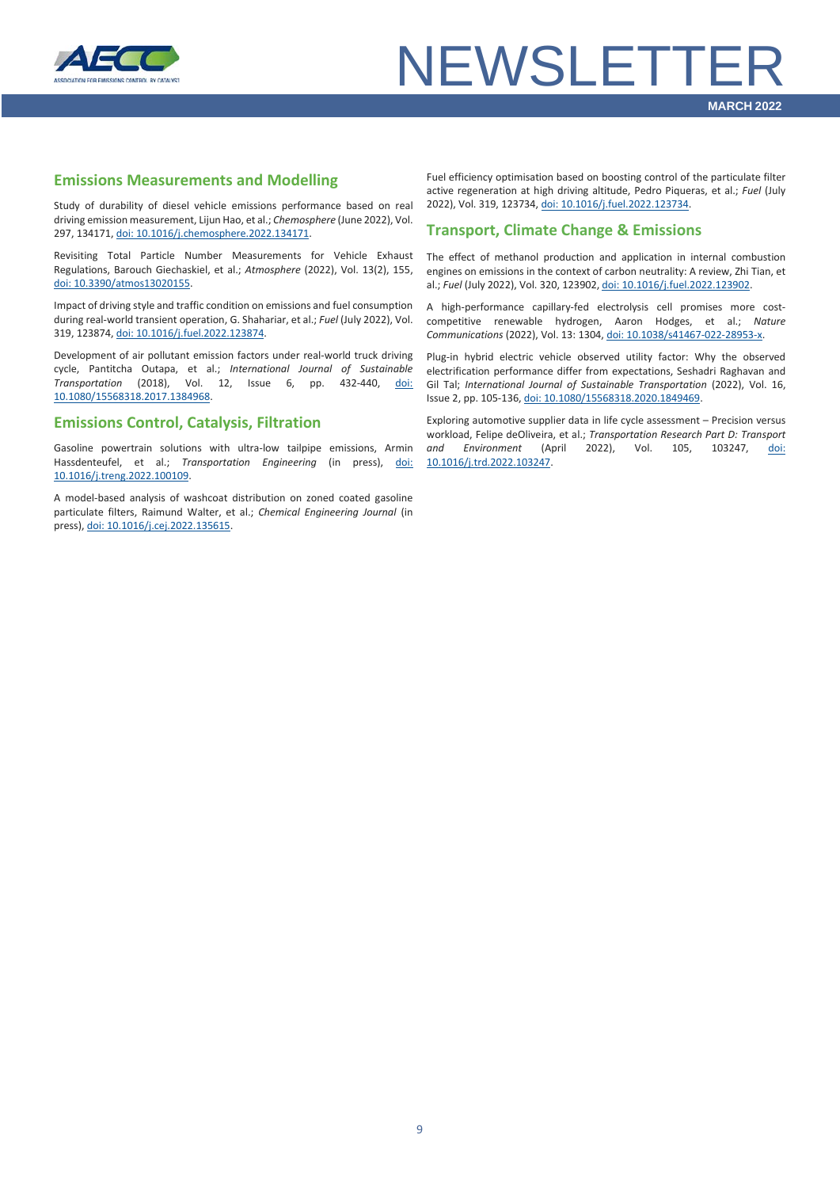

# **NEWSLETTF**

#### **Emissions Measurements and Modelling**

Study of durability of diesel vehicle emissions performance based on real driving emission measurement, Lijun Hao, et al.; *Chemosphere* (June 2022), Vol. 297, 134171[, doi: 10.1016/j.chemosphere.2022.134171.](https://doi.org/10.1016/j.chemosphere.2022.134171)

Revisiting Total Particle Number Measurements for Vehicle Exhaust Regulations, Barouch Giechaskiel, et al.; *Atmosphere* (2022), Vol. 13(2), 155, [doi: 10.3390/atmos13020155.](https://doi.org/10.3390/atmos13020155)

Impact of driving style and traffic condition on emissions and fuel consumption during real-world transient operation, G. Shahariar, et al.; *Fuel* (July 2022), Vol. 319, 123874[, doi: 10.1016/j.fuel.2022.123874.](https://doi.org/10.1016/j.fuel.2022.123874)

Development of air pollutant emission factors under real-world truck driving cycle, Pantitcha Outapa, et al.; *International Journal of Sustainable Transportation* (2018), Vol. 12, Issue 6, pp. 432-440, [doi:](https://doi.org/10.1080/15568318.2017.1384968)  [10.1080/15568318.2017.1384968.](https://doi.org/10.1080/15568318.2017.1384968)

#### **Emissions Control, Catalysis, Filtration**

Gasoline powertrain solutions with ultra-low tailpipe emissions, Armin Hassdenteufel, et al.; *Transportation Engineering* (in press), [doi:](https://doi.org/10.1016/j.treng.2022.100109)  [10.1016/j.treng.2022.100109.](https://doi.org/10.1016/j.treng.2022.100109)

A model-based analysis of washcoat distribution on zoned coated gasoline particulate filters, Raimund Walter, et al.; *Chemical Engineering Journal* (in press)[, doi: 10.1016/j.cej.2022.135615.](https://doi.org/10.1016/j.cej.2022.135615)

Fuel efficiency optimisation based on boosting control of the particulate filter active regeneration at high driving altitude, Pedro Piqueras, et al.; *Fuel* (July 2022), Vol. 319, 123734[, doi: 10.1016/j.fuel.2022.123734.](https://doi.org/10.1016/j.fuel.2022.123734)

### **Transport, Climate Change & Emissions**

The effect of methanol production and application in internal combustion engines on emissions in the context of carbon neutrality: A review, Zhi Tian, et al.; *Fuel* (July 2022), Vol. 320, 123902[, doi: 10.1016/j.fuel.2022.123902.](https://doi.org/10.1016/j.fuel.2022.123902)

A high-performance capillary-fed electrolysis cell promises more costcompetitive renewable hydrogen, Aaron Hodges, et al.; *Nature Communications* (2022), Vol. 13: 1304[, doi: 10.1038/s41467-022-28953-x.](https://doi.org/10.1038/s41467-022-28953-x)

Plug-in hybrid electric vehicle observed utility factor: Why the observed electrification performance differ from expectations, Seshadri Raghavan and Gil Tal; *International Journal of Sustainable Transportation* (2022), Vol. 16, Issue 2, pp. 105-136[, doi: 10.1080/15568318.2020.1849469.](https://doi.org/10.1080/15568318.2020.1849469)

Exploring automotive supplier data in life cycle assessment – Precision versus workload, Felipe deOliveira, et al.; *Transportation Research Part D: Transport and Environment* (April 2022), Vol. 105, 103247, [doi:](https://doi.org/10.1016/j.trd.2022.103247)  [10.1016/j.trd.2022.103247.](https://doi.org/10.1016/j.trd.2022.103247)